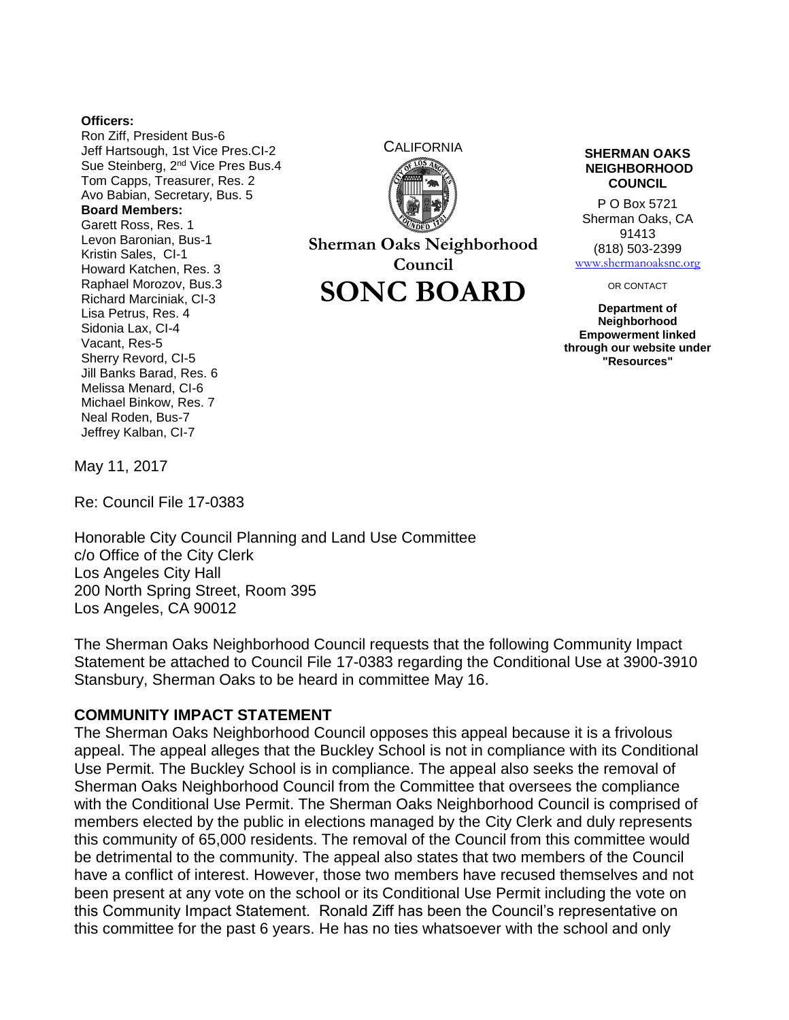## **Officers:**

Ron Ziff, President Bus-6 Jeff Hartsough, 1st Vice Pres.CI-2 Sue Steinberg, 2<sup>nd</sup> Vice Pres Bus.4 Tom Capps, Treasurer, Res. 2 Avo Babian, Secretary, Bus. 5 **Board Members:** Garett Ross, Res. 1 Levon Baronian, Bus-1 Kristin Sales, CI-1 Howard Katchen, Res. 3 Raphael Morozov, Bus.3 Richard Marciniak, CI-3 Lisa Petrus, Res. 4 Sidonia Lax, CI-4 Vacant, Res-5 Sherry Revord, CI-5 Jill Banks Barad, Res. 6 Melissa Menard, CI-6 Michael Binkow, Res. 7 Neal Roden, Bus-7 Jeffrey Kalban, CI-7



**Sherman Oaks Neighborhood Council SONC BOARD**

## **NEIGHBORHOOD COUNCIL**

P O Box 5721 Sherman Oaks, CA 91413 (818) 503-2399 [www.shermanoaksnc.org](http://www.shermanoaksnc.org/)

OR CONTACT

**Department of Neighborhood Empowerment linked through our website under "Resources"**

May 11, 2017

Re: Council File 17-0383

Honorable City Council Planning and Land Use Committee c/o Office of the City Clerk Los Angeles City Hall 200 North Spring Street, Room 395 Los Angeles, CA 90012

The Sherman Oaks Neighborhood Council requests that the following Community Impact Statement be attached to Council File 17-0383 regarding the Conditional Use at 3900-3910 Stansbury, Sherman Oaks to be heard in committee May 16.

## **COMMUNITY IMPACT STATEMENT**

The Sherman Oaks Neighborhood Council opposes this appeal because it is a frivolous appeal. The appeal alleges that the Buckley School is not in compliance with its Conditional Use Permit. The Buckley School is in compliance. The appeal also seeks the removal of Sherman Oaks Neighborhood Council from the Committee that oversees the compliance with the Conditional Use Permit. The Sherman Oaks Neighborhood Council is comprised of members elected by the public in elections managed by the City Clerk and duly represents this community of 65,000 residents. The removal of the Council from this committee would be detrimental to the community. The appeal also states that two members of the Council have a conflict of interest. However, those two members have recused themselves and not been present at any vote on the school or its Conditional Use Permit including the vote on this Community Impact Statement. Ronald Ziff has been the Council's representative on this committee for the past 6 years. He has no ties whatsoever with the school and only